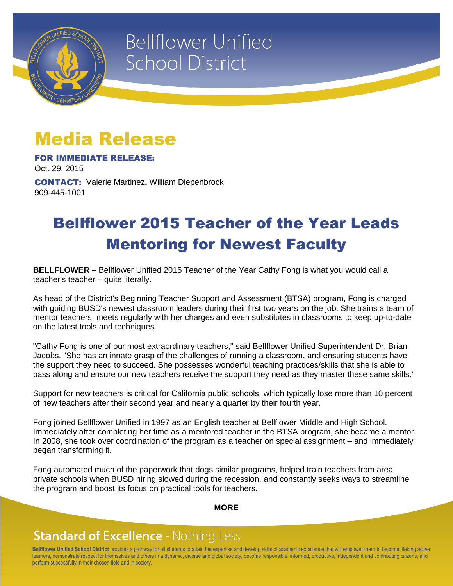

# **Bellflower Unified School District**

## Media Release

FOR IMMEDIATE RELEASE:

Oct. 29, 2015

CONTACT: Valerie Martinez**,** William Diepenbrock 909-445-1001

## Bellflower 2015 Teacher of the Year Leads Mentoring for Newest Faculty

**BELLFLOWER –** Bellflower Unified 2015 Teacher of the Year Cathy Fong is what you would call a teacher's teacher – quite literally.

As head of the District's Beginning Teacher Support and Assessment (BTSA) program, Fong is charged with guiding BUSD's newest classroom leaders during their first two years on the job. She trains a team of mentor teachers, meets regularly with her charges and even substitutes in classrooms to keep up-to-date on the latest tools and techniques.

"Cathy Fong is one of our most extraordinary teachers," said Bellflower Unified Superintendent Dr. Brian Jacobs. "She has an innate grasp of the challenges of running a classroom, and ensuring students have the support they need to succeed. She possesses wonderful teaching practices/skills that she is able to pass along and ensure our new teachers receive the support they need as they master these same skills."

Support for new teachers is critical for California public schools, which typically lose more than 10 percent of new teachers after their second year and nearly a quarter by their fourth year.

Fong joined Bellflower Unified in 1997 as an English teacher at Bellflower Middle and High School. Immediately after completing her time as a mentored teacher in the BTSA program, she became a mentor. In 2008, she took over coordination of the program as a teacher on special assignment – and immediately began transforming it.

Fong automated much of the paperwork that dogs similar programs, helped train teachers from area private schools when BUSD hiring slowed during the recession, and constantly seeks ways to streamline the program and boost its focus on practical tools for teachers.

#### **MORE**

### **Standard of Excellence - Nothing Less**

**Bellflower Unified School District** provides a pathway for all students to attain the expertise and develop skills of academic excellence that will empower them to become lifelong active learners, demonstrate respect for themselves and others in a dynamic, diverse and global society, become responsible, informed, productive, independent and contributing citizens, and perform successfully in their chosen field and in society.